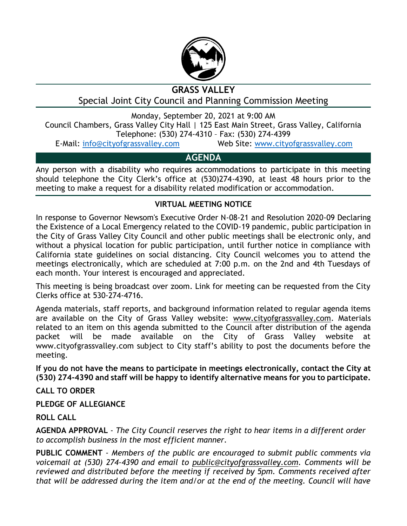

# **GRASS VALLEY**

Special Joint City Council and Planning Commission Meeting

Monday, September 20, 2021 at 9:00 AM

Council Chambers, Grass Valley City Hall | 125 East Main Street, Grass Valley, California Telephone: (530) 274-4310 – Fax: (530) 274-4399

E-Mail: [info@cityofgrassvalley.com](mailto:info@cityofgrassvalley.com) Web Site: [www.cityofgrassvalley.com](http://www.cityofgrassvalley.com/)

## **AGENDA**

Any person with a disability who requires accommodations to participate in this meeting should telephone the City Clerk's office at (530)274-4390, at least 48 hours prior to the meeting to make a request for a disability related modification or accommodation.

## **VIRTUAL MEETING NOTICE**

In response to Governor Newsom's Executive Order N-08-21 and Resolution 2020-09 Declaring the Existence of a Local Emergency related to the COVID-19 pandemic, public participation in the City of Grass Valley City Council and other public meetings shall be electronic only, and without a physical location for public participation, until further notice in compliance with California state guidelines on social distancing. City Council welcomes you to attend the meetings electronically, which are scheduled at 7:00 p.m. on the 2nd and 4th Tuesdays of each month. Your interest is encouraged and appreciated.

This meeting is being broadcast over zoom. Link for meeting can be requested from the City Clerks office at 530-274-4716.

Agenda materials, staff reports, and background information related to regular agenda items are available on the City of Grass Valley website: www.cityofgrassvalley.com. Materials related to an item on this agenda submitted to the Council after distribution of the agenda packet will be made available on the City of Grass Valley website at www.cityofgrassvalley.com subject to City staff's ability to post the documents before the meeting.

**If you do not have the means to participate in meetings electronically, contact the City at (530) 274-4390 and staff will be happy to identify alternative means for you to participate.**

**CALL TO ORDER**

### **PLEDGE OF ALLEGIANCE**

### **ROLL CALL**

**AGENDA APPROVAL** - *The City Council reserves the right to hear items in a different order to accomplish business in the most efficient manner.*

**PUBLIC COMMENT** - *Members of the public are encouraged to submit public comments via voicemail at (530) 274-4390 and email to public@cityofgrassvalley.com. Comments will be reviewed and distributed before the meeting if received by 5pm. Comments received after that will be addressed during the item and/or at the end of the meeting. Council will have*